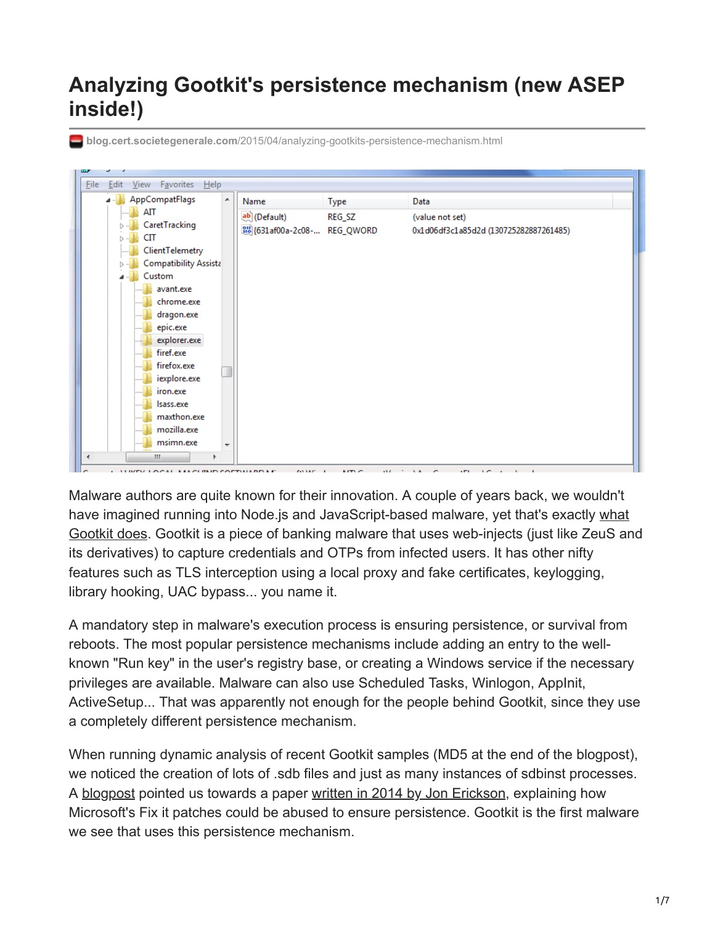## **Analyzing Gootkit's persistence mechanism (new ASEP inside!)**

| AppCompatFlags          | $\blacktriangle$<br>Name | Type                     | Data                                   |
|-------------------------|--------------------------|--------------------------|----------------------------------------|
| AIT                     | ab (Default)             | REG_SZ                   | (value not set)                        |
| CaretTracking           |                          | 2008-008-2C08- REG_QWORD | 0x1d06df3c1a85d2d (130725282887261485) |
| СIТ                     |                          |                          |                                        |
| ClientTelemetry         |                          |                          |                                        |
| Compatibility Assista   |                          |                          |                                        |
| Custom                  |                          |                          |                                        |
| avant.exe<br>chrome.exe |                          |                          |                                        |
| dragon.exe              |                          |                          |                                        |
| epic.exe                |                          |                          |                                        |
| explorer.exe            |                          |                          |                                        |
| firef.exe               |                          |                          |                                        |
| firefox.exe             |                          |                          |                                        |
| iexplore.exe            |                          |                          |                                        |
| iron.exe                |                          |                          |                                        |
| Isass.exe               |                          |                          |                                        |
| maxthon.exe             |                          |                          |                                        |
| mozilla.exe             |                          |                          |                                        |
| msimn.exe               | $\overline{\phantom{a}}$ |                          |                                        |

**blog.cert.societegenerale.com**[/2015/04/analyzing-gootkits-persistence-mechanism.html](http://blog.cert.societegenerale.com/2015/04/analyzing-gootkits-persistence-mechanism.html)

Malware authors are quite known for their innovation. A couple of years back, we wouldn't have imagined running into Node.js and JavaScript-based malware, yet that's exactly what [Gootkit does. Gootkit is a piece of banking malware that uses web-injects \(just like ZeuS an](http://www.lexsi-leblog.com/cert-en/hey-brian-heya-homer-fancy-meeting-you-here-zeus-gootkit-2014-ad.html)d its derivatives) to capture credentials and OTPs from infected users. It has other nifty features such as TLS interception using a local proxy and fake certificates, keylogging, library hooking, UAC bypass... you name it.

A mandatory step in malware's execution process is ensuring persistence, or survival from reboots. The most popular persistence mechanisms include adding an entry to the wellknown "Run key" in the user's registry base, or creating a Windows service if the necessary privileges are available. Malware can also use Scheduled Tasks, Winlogon, AppInit, ActiveSetup... That was apparently not enough for the people behind Gootkit, since they use a completely different persistence mechanism.

When running dynamic analysis of recent Gootkit samples (MD5 at the end of the blogpost), we noticed the creation of lots of .sdb files and just as many instances of sdbinst processes. A [blogpost](http://blog.trendmicro.com/trendlabs-security-intelligence/fake-judicial-spam-leads-to-backdoor-with-fake-certificate-authority/) pointed us towards a paper [written in 2014 by Jon Erickson,](https://www.blackhat.com/docs/asia-14/materials/Erickson/WP-Asia-14-Erickson-Persist-It-Using-And-Abusing-Microsofts-Fix-It-Patches.pdf) explaining how Microsoft's Fix it patches could be abused to ensure persistence. Gootkit is the first malware we see that uses this persistence mechanism.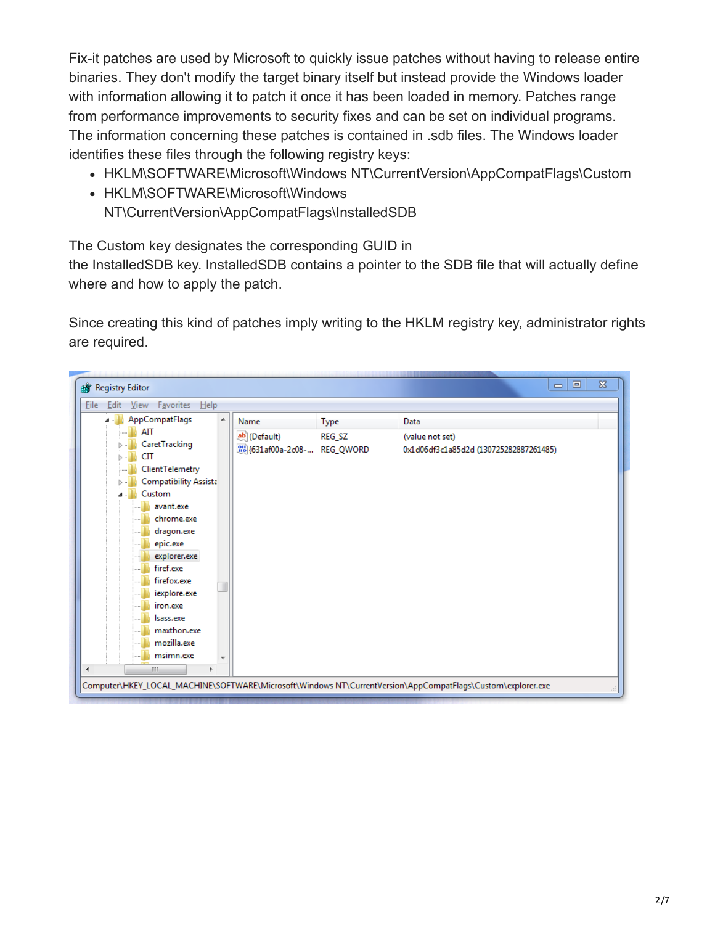Fix-it patches are used by Microsoft to quickly issue patches without having to release entire binaries. They don't modify the target binary itself but instead provide the Windows loader with information allowing it to patch it once it has been loaded in memory. Patches range from performance improvements to security fixes and can be set on individual programs. The information concerning these patches is contained in .sdb files. The Windows loader identifies these files through the following registry keys:

- HKLM\SOFTWARE\Microsoft\Windows NT\CurrentVersion\AppCompatFlags\Custom
- HKLM\SOFTWARE\Microsoft\Windows NT\CurrentVersion\AppCompatFlags\InstalledSDB

The Custom key designates the corresponding GUID in

the InstalledSDB key. InstalledSDB contains a pointer to the SDB file that will actually define where and how to apply the patch.

Since creating this kind of patches imply writing to the HKLM registry key, administrator rights are required.

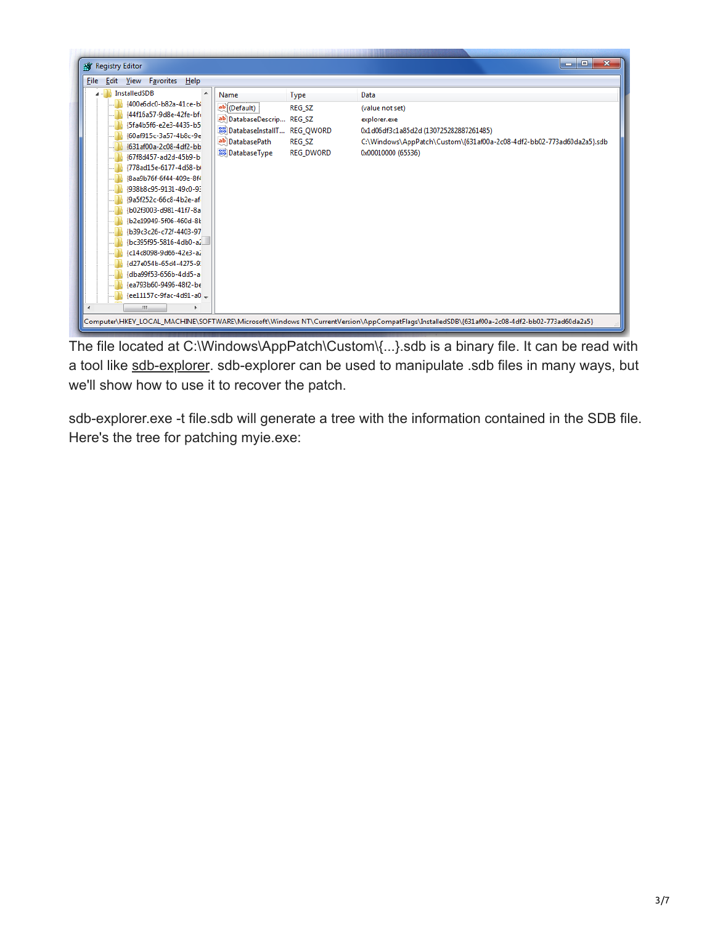| Registry Editor                                                                                                                                                                                                                                                                                                                                                                                                                                                                                                                        |                                                                                                                                |                                                     | $\mathbf{x}$<br>o.<br>الحدا                                                                                                                                                      |
|----------------------------------------------------------------------------------------------------------------------------------------------------------------------------------------------------------------------------------------------------------------------------------------------------------------------------------------------------------------------------------------------------------------------------------------------------------------------------------------------------------------------------------------|--------------------------------------------------------------------------------------------------------------------------------|-----------------------------------------------------|----------------------------------------------------------------------------------------------------------------------------------------------------------------------------------|
| Edit View Favorites<br><b>File</b><br>Help                                                                                                                                                                                                                                                                                                                                                                                                                                                                                             |                                                                                                                                |                                                     |                                                                                                                                                                                  |
| <b>InstalledSDB</b><br>{400e6dc0-b82a-41ce-b}<br>{44f16a57-9d8e-42fe-bfi<br>{5fa4b5f6-e2e3-4435-b5<br>{60af915c-3a57-4b8c-9e<br>{631af00a-2c08-4df2-bb<br>{67f8d457-ad2d-45b9-b<br>{778ad15e-6177-4d58-bi<br>{8aa9b76f-6f44-409e-8f4<br>{938b8c95-9131-49c0-9}<br>{9a5f252c-66c8-4b2e-af<br>{b02f3003-d981-41f7-8a<br>{b2e19949-5f06-460d-8}<br>{b39c3c26-c72f-4403-97<br>/bc395f95-5816-4db0-a2<br>{c14c8098-9d66-42e3-a2<br>{d27e054b-65d4-4275-9}<br>dba99f53-656b-4dd5-a<br>ea793b60-9496-48f2-be<br>ee11157c-9fac-4d91-a0 =<br>m. | Name<br>ab (Default)<br>ab DatabaseDescrip REG SZ<br>DatabaseInstallT REG_QWORD<br>ab DatabasePath<br><b>BUD</b> Database Type | <b>Type</b><br>REG_SZ<br><b>REG SZ</b><br>REG_DWORD | Data<br>(value not set)<br>explorer.exe<br>0x1d06df3c1a85d2d (130725282887261485)<br>C:\Windows\AppPatch\Custom\{631af00a-2c08-4df2-bb02-773ad60da2a5}.sdb<br>0x00010000 (65536) |

The file located at C:\Windows\AppPatch\Custom\{...}.sdb is a binary file. It can be read with a tool like [sdb-explorer.](https://github.com/evil-e/sdb-explorer) sdb-explorer can be used to manipulate .sdb files in many ways, but we'll show how to use it to recover the patch.

sdb-explorer.exe -t file.sdb will generate a tree with the information contained in the SDB file. Here's the tree for patching myie.exe: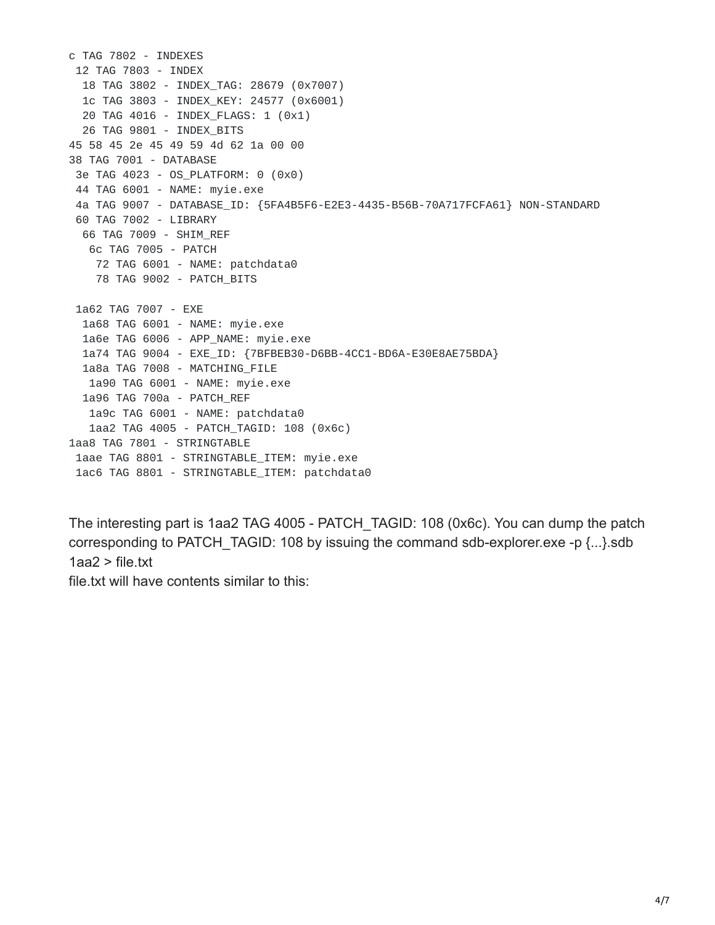```
c TAG 7802 - INDEXES
 12 TAG 7803 - INDEX
 18 TAG 3802 - INDEX_TAG: 28679 (0x7007)
 1c TAG 3803 - INDEX_KEY: 24577 (0x6001)
 20 TAG 4016 - INDEX_FLAGS: 1 (0x1)
 26 TAG 9801 - INDEX_BITS
45 58 45 2e 45 49 59 4d 62 1a 00 00
38 TAG 7001 - DATABASE
 3e TAG 4023 - OS_PLATFORM: 0 (0x0)
 44 TAG 6001 - NAME: myie.exe
 4a TAG 9007 - DATABASE_ID: {5FA4B5F6-E2E3-4435-B56B-70A717FCFA61} NON-STANDARD
 60 TAG 7002 - LIBRARY
 66 TAG 7009 - SHIM_REF
  6c TAG 7005 - PATCH
   72 TAG 6001 - NAME: patchdata0
   78 TAG 9002 - PATCH_BITS
 1a62 TAG 7007 - EXE
 1a68 TAG 6001 - NAME: myie.exe
 1a6e TAG 6006 - APP_NAME: myie.exe
 1a74 TAG 9004 - EXE_ID: {7BFBEB30-D6BB-4CC1-BD6A-E30E8AE75BDA}
 1a8a TAG 7008 - MATCHING_FILE
  1a90 TAG 6001 - NAME: myie.exe
 1a96 TAG 700a - PATCH_REF
  1a9c TAG 6001 - NAME: patchdata0
   1aa2 TAG 4005 - PATCH_TAGID: 108 (0x6c)
1aa8 TAG 7801 - STRINGTABLE
 1aae TAG 8801 - STRINGTABLE_ITEM: myie.exe
 1ac6 TAG 8801 - STRINGTABLE_ITEM: patchdata0
```
The interesting part is 1aa2 TAG 4005 - PATCH\_TAGID: 108 (0x6c). You can dump the patch corresponding to PATCH TAGID: 108 by issuing the command sdb-explorer.exe -p {...}.sdb  $1aa2$  > file.txt

file.txt will have contents similar to this: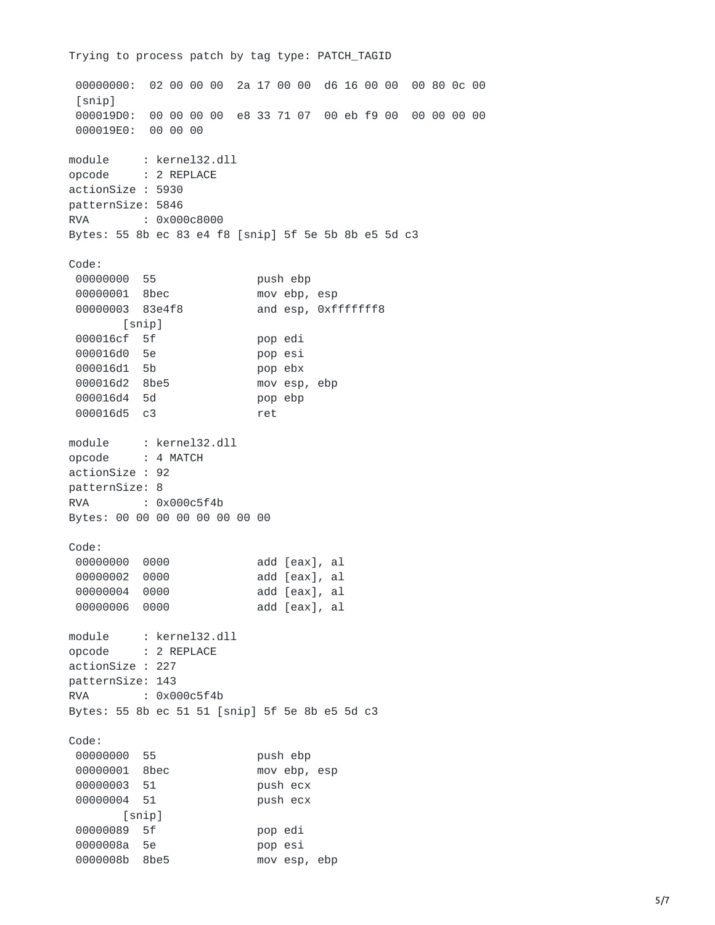00000000: 02 00 00 00 2a 17 00 00 d6 16 00 00 00 80 0c 00 [snip] 000019D0: 00 00 00 00 e8 33 71 07 00 eb f9 00 00 00 00 00 000019E0: 00 00 00 module : kernel32.dll opcode : 2 REPLACE actionSize : 5930 patternSize: 5846 RVA : 0x000c8000 Bytes: 55 8b ec 83 e4 f8 [snip] 5f 5e 5b 8b e5 5d c3 Code: 00000000 55 push ebp 00000001 8bec mov ebp, esp 00000003 83e4f8 and esp, 0xfffffff8 [snip] 000016cf 5f pop edi 000016d0 5e pop esi 000016d1 5b pop ebx 000016d2 8be5 mov esp, ebp 000016d4 5d pop ebp 000016d5 c3 ret module : kernel32.dll opcode : 4 MATCH actionSize : 92 patternSize: 8 RVA : 0x000c5f4b Bytes: 00 00 00 00 00 00 00 00 Code: 00000000 0000 add [eax], al 00000002 0000 add [eax], al 00000004 0000 add [eax], al 00000006 0000 add [eax], al module : kernel32.dll opcode : 2 REPLACE actionSize : 227 patternSize: 143 RVA : 0x000c5f4b Bytes: 55 8b ec 51 51 [snip] 5f 5e 8b e5 5d c3 Code: 00000000 55 push ebp 00000001 8bec mov ebp, esp 00000003 51 push ecx 00000004 51 push ecx [snip] 00000089 5f pop edi 0000008a 5e pop esi 0000008b 8be5 mov esp, ebp

Trying to process patch by tag type: PATCH\_TAGID

## 5/7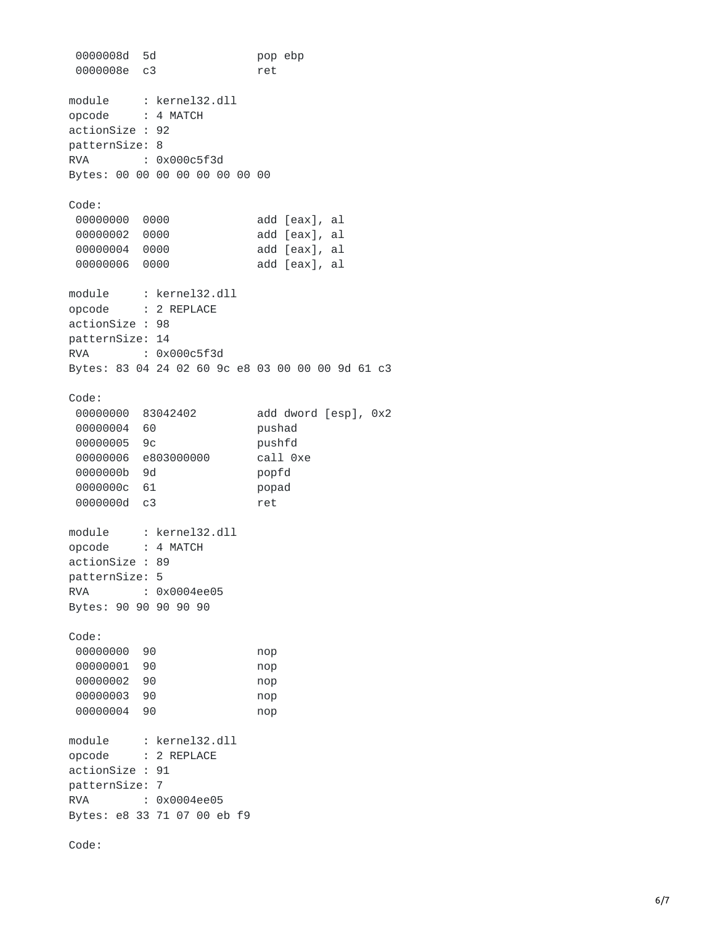0000008d 5d p o p e b p 0000008e c3 r e t module : kernel32.dll opcod e : 4 MATCH a c t i o n S i z e : 9 2 p a t t e r n S i z e: 8 R V A : 0x000c5f3d Bytes: 00 00 00 00 00 00 00 00 Code: 00000000 0000 add [eax], al 00000002 0000 add [eax], al 00000004 0000 add [eax], al 00000006 0000 add [eax], al m o d u l e : kernel32.dll opcod e : 2 REPLACE a c t i o n S i z e : 9 8 p a t t e r n S i z e: 1 4 R V A : 0x000c5f3d Bytes: 83 04 24 02 60 9c e8 03 00 00 00 9d 61 c3 Code: 00000000 83042402 a d d d w o r d [ e s p ] , 0 x 2 00000004 60 p u s h a d 00000005 9c p u s h f d 00000006 e803000000 c a l l 0 x e 0000000b 9d p o p f d 000000c 61 p o p a d 000000d c3 r e t module : kernel32.dll opcod e : 4 MATCH a c t i o n S i z e : 8 9 p a t t e r n S i z e: 5 R V A : 0x0004ee05 Bytes: 90 90 90 90 90 Code: 00000000 90 n o p 00000001 90 n o p 00000002 90 n o p 00000003 90 n o p 00000004 90 n o p module : kernel32.dll opcod e : 2 REPLACE a c t i o n S i z e : 9 1 p a t t e r n S i z e: 7 R V A : 0x0004ee05 Bytes: e8 33 71 07 00 eb f9

Code: